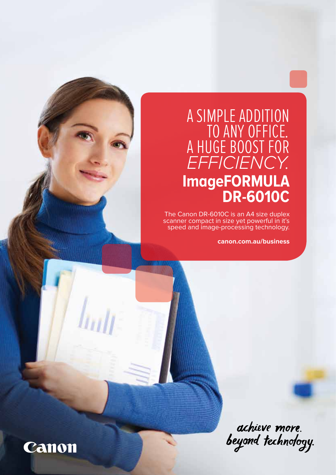# A SIMPLE ADDITION<br>TO ANY OFFICE. to any office*.* a huge boost for *efficiency.* **ImageFORMULA DR-6010C**

The Canon DR-6010C is an A4 size duplex scanner compact in size yet powerful in it's speed and image-processing technology.

**canon.com.au/business**

achieve more.<br>beyond technology.

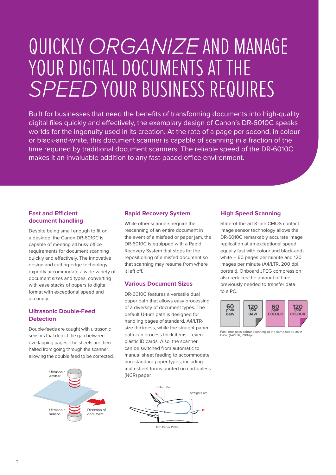# Quickly *organize* and manage YOUR DIGITAL DOCUMENTS AT THE *speed* your business requires

Built for businesses that need the benefits of transforming documents into high-quality digital files quickly and effectively, the exemplary design of Canon's DR-6010C speaks worlds for the ingenuity used in its creation. At the rate of a page per second, in colour or black-and-white, this document scanner is capable of scanning in a fraction of the time required by traditional document scanners. The reliable speed of the DR-6010C makes it an invaluable addition to any fast-paced office environment.

### **Fast and Efficient document handling**

Despite being small enough to fit on a desktop, the Canon DR-6010C is capable of meeting all busy office requirements for document scanning quickly and effectively. The innovative design and cutting-edge technology expertly accommodate a wide variety of document sizes and types, converting with ease stacks of papers to digital format with exceptional speed and accuracy.

### **Ultrasonic Double-Feed Detection**

Double-feeds are caught with ultrasonic sensors that detect the gap between overlapping pages. The sheets are then halted from going through the scanner, allowing the double feed to be corrected.



#### **Rapid Recovery System**

While other scanners require the rescanning of an entire document in the event of a misfeed or paper jam, the DR-6010C is equipped with a Rapid Recovery System that stops for the repositioning of a misfed document so that scanning may resume from where it left off.

#### **Various Document Sizes**

DR-6010C features a versatile dual paper path that allows easy processing of a diversity of document types. The default U-turn path is designed for handling pages of standard, A4/LTRsize thickness, while the straight paper path can process thick items – even plastic ID cards. Also, the scanner can be switched from automatic to manual sheet feeding to accommodate non-standard paper types, including multi-sheet forms printed on carbonless (NCR) paper.



### **High Speed Scanning**

State-of-the-art 3-line CMOS contact image sensor technology allows the DR-6010C remarkably accurate image replication at an exceptional speed, equally fast with colour and black-andwhite – 60 pages per minute and 120 images per minute (A4/LTR, 200 dpi, portrait). Onboard JPEG compression also reduces the amount of time previously needed to transfer data to a PC.



Fast, one-pass colour scanning at the same speed as in B&W. (A4/LTR, 200dpi)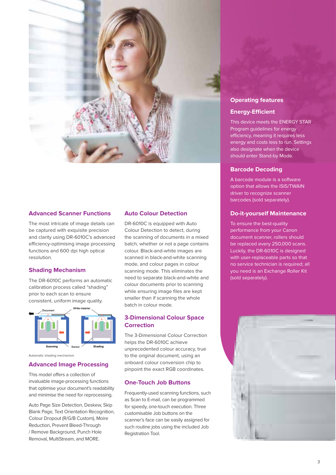

#### **Advanced Scanner Functions**

The most intricate of image details can be captured with exquisite precision and clarity using DR-6010C's advanced efficiency-optimising image processing functions and 600 dpi high optical resolution.

#### **Shading Mechanism**

The DR-6010C performs an automatic calibration process called "shading" prior to each scan to ensure consistent, uniform image quality.



Automatic shading mechanism

#### **Advanced Image Processing**

This model offers a collection of invaluable image-processing functions that optimise your document's readability and minimise the need for reprocessing.

Auto Page Size Detection, Deskew, Skip Blank Page, Text Orientation Recognition, Colour Dropout (R/G/B Custom), Moire Reduction, Prevent Bleed-Through / Remove Background, Punch Hole Removal, MultiStream, and MORE.

#### **Auto Colour Detection**

DR-6010C is equipped with Auto Colour Detection to detect, during the scanning of documents in a mixed batch, whether or not a page contains colour. Black-and-white images are scanned in black-and-white scanning mode, and colour pages in colour scanning mode. This eliminates the need to separate black-and-white and colour documents prior to scanning while ensuring image files are kept smaller than if scanning the whole batch in colour mode.

#### **3-Dimensional Colour Space Correction**

The 3-Dimensional Colour Correction helps the DR-6010C achieve unprecedented colour accuracy, true to the original document, using an onboard colour conversion chip to pinpoint the exact RGB coordinates.

#### **One-Touch Job Buttons**

Frequently-used scanning functions, such as Scan to E-mail, can be programmed for speedy, one-touch execution. Three customisable Job buttons on the scanner's face can be easily assigned for such routine jobs using the included Job Registration Tool.

#### **Operating features**

#### **Energy-Efficient**

This device meets the ENERGY STAR Program guidelines for energy efficiency, meaning it requires less energy and costs less to run. Settings also designate when the device should enter Stand-by Mode.

#### **Barcode Decoding**

A barcode module is a software option that allows the ISIS/TWAIN driver to recognize scanner barcodes (sold separately).

#### **Do-it-yourself Maintenance**

To ensure the best-quality performance from your Canon document scanner, rollers should be replaced every 250,000 scans. Luckily, the DR-6010C is designed with user-replaceable parts so that no service technician is required; all you need is an Exchange Roller Kit (sold separately).